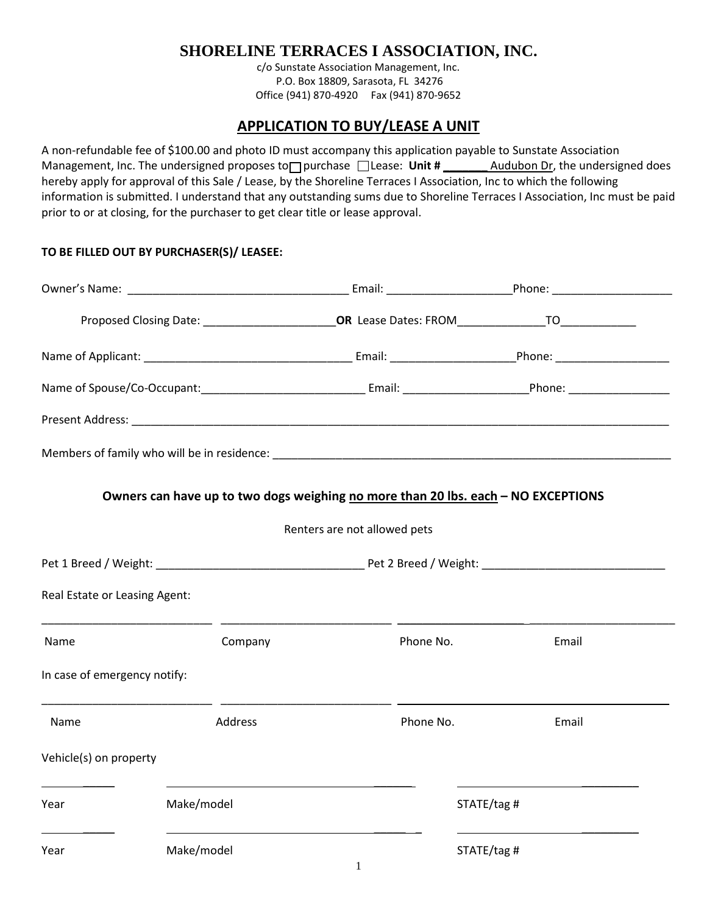## **SHORELINE TERRACES I ASSOCIATION, INC.**

c/o Sunstate Association Management, Inc. P.O. Box 18809, Sarasota, FL 34276 Office (941) 870-4920 Fax (941) 870-9652

## **APPLICATION TO BUY/LEASE A UNIT**

A non-refundable fee of \$100.00 and photo ID must accompany this application payable to Sunstate Association Management, Inc. The undersigned proposes to purchase Lease: Unit # \_\_\_\_\_\_\_ Audubon Dr, the undersigned does hereby apply for approval of this Sale / Lease, by the Shoreline Terraces I Association, Inc to which the following information is submitted. I understand that any outstanding sums due to Shoreline Terraces I Association, Inc must be paid prior to or at closing, for the purchaser to get clear title or lease approval.

|                               |                | Proposed Closing Date: ____________________________OR Lease Dates: FROM_____________________________ |             |
|-------------------------------|----------------|------------------------------------------------------------------------------------------------------|-------------|
|                               |                |                                                                                                      |             |
|                               |                |                                                                                                      |             |
|                               |                |                                                                                                      |             |
|                               |                |                                                                                                      |             |
|                               |                | Owners can have up to two dogs weighing no more than 20 lbs. each - NO EXCEPTIONS                    |             |
|                               |                | Renters are not allowed pets                                                                         |             |
|                               |                |                                                                                                      |             |
|                               |                |                                                                                                      |             |
| Real Estate or Leasing Agent: |                |                                                                                                      |             |
| Name                          | Company        | Phone No.                                                                                            | Email       |
| In case of emergency notify:  |                |                                                                                                      |             |
| Name                          | <b>Address</b> | Phone No.                                                                                            | Email       |
| Vehicle(s) on property        |                |                                                                                                      |             |
| Year                          | Make/model     |                                                                                                      | STATE/tag # |
| Year                          | Make/model     |                                                                                                      | STATE/tag # |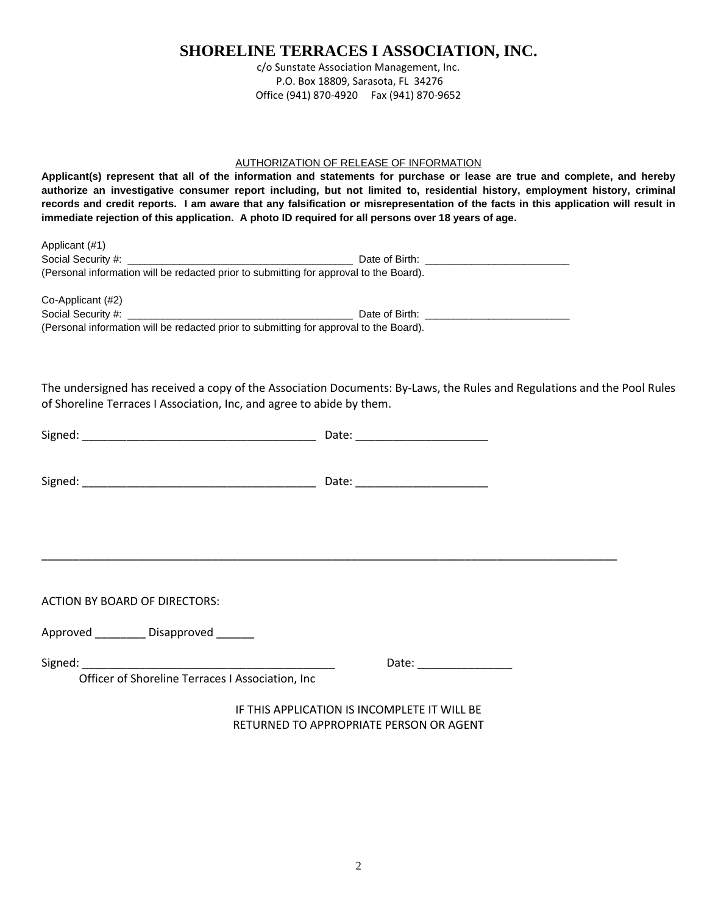## **SHORELINE TERRACES I ASSOCIATION, INC.**

c/o Sunstate Association Management, Inc. P.O. Box 18809, Sarasota, FL 34276 Office (941) 870-4920 Fax (941) 870-9652

#### AUTHORIZATION OF RELEASE OF INFORMATION

**Applicant(s) represent that all of the information and statements for purchase or lease are true and complete, and hereby authorize an investigative consumer report including, but not limited to, residential history, employment history, criminal records and credit reports. I am aware that any falsification or misrepresentation of the facts in this application will result in immediate rejection of this application. A photo ID required for all persons over 18 years of age.**

| Applicant (#1)                                                                         |                                                                                                                                                                                                                                |  |
|----------------------------------------------------------------------------------------|--------------------------------------------------------------------------------------------------------------------------------------------------------------------------------------------------------------------------------|--|
| Social Security #:                                                                     | Date of Birth:                                                                                                                                                                                                                 |  |
| (Personal information will be redacted prior to submitting for approval to the Board). |                                                                                                                                                                                                                                |  |
| Co-Applicant (#2)                                                                      |                                                                                                                                                                                                                                |  |
| Social Security #:                                                                     | Date of Birth: the contract of the contract of the contract of the contract of the contract of the contract of the contract of the contract of the contract of the contract of the contract of the contract of the contract of |  |
| (Personal information will be redacted prior to submitting for approval to the Board). |                                                                                                                                                                                                                                |  |

The undersigned has received a copy of the Association Documents: By-Laws, the Rules and Regulations and the Pool Rules of Shoreline Terraces I Association, Inc, and agree to abide by them.

| <b>ACTION BY BOARD OF DIRECTORS:</b>                                                                                                                                                                                                                                               |                                                                                                                                                                                                                                |  |
|------------------------------------------------------------------------------------------------------------------------------------------------------------------------------------------------------------------------------------------------------------------------------------|--------------------------------------------------------------------------------------------------------------------------------------------------------------------------------------------------------------------------------|--|
| Approved __________ Disapproved ______                                                                                                                                                                                                                                             |                                                                                                                                                                                                                                |  |
| Signed: National Communication of the Communication of the Communication of the Communication of the Communication of the Communication of the Communication of the Communication of the Communication of the Communication of<br>Officer of Shoreline Terraces I Association, Inc | Date: the contract of the contract of the contract of the contract of the contract of the contract of the contract of the contract of the contract of the contract of the contract of the contract of the contract of the cont |  |
|                                                                                                                                                                                                                                                                                    | IF THIS APPLICATION IS INCOMPLETE IT WILL BE<br>RETURNED TO APPROPRIATE PERSON OR AGENT                                                                                                                                        |  |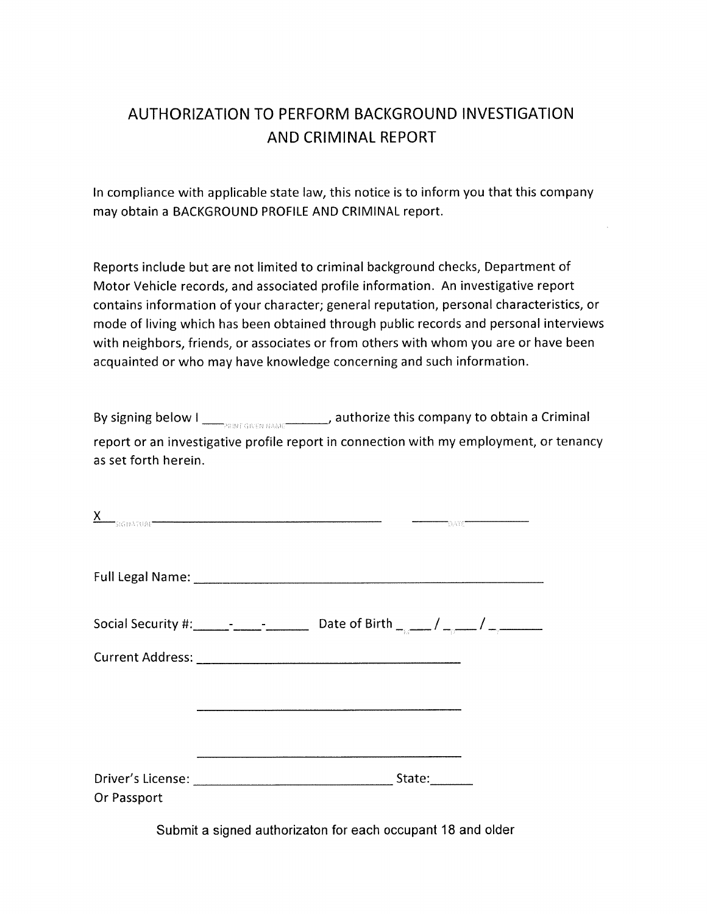## AUTHORIZATION TO PERFORM BACKGROUND INVESTIGATION AND CRIMINAL REPORT

In compliance with applicable state law, this notice is to inform you that this company may obtain a BACKGROUND PROFILE AND CRIMINAL report.

Reports include but are not limited to criminal background checks, Department of Motor Vehicle records, and associated profile information. An investigative report contains information of your character; general reputation, personal characteristics, or mode of living which has been obtained through public records and personal interviews with neighbors, friends, or associates or from others with whom you are or have been acquainted or who may have knowledge concerning and such information.

| By signing below I<br><b>PRINT GIVEN NAME</b> | , authorize this company to obtain a Criminal                                          |
|-----------------------------------------------|----------------------------------------------------------------------------------------|
| as set forth herein.                          | report or an investigative profile report in connection with my employment, or tenancy |

| <u>∧</u>    | TSIGNATURE <b>The Commission of the Commission Commission of the Commission Commission</b> | TDATE" |
|-------------|--------------------------------------------------------------------------------------------|--------|
|             |                                                                                            |        |
|             |                                                                                            |        |
|             |                                                                                            |        |
|             |                                                                                            |        |
|             |                                                                                            |        |
|             |                                                                                            |        |
| Or Passport |                                                                                            |        |

 $\overline{v}$ 

Submit a signed authorizaton for each occupant 18 and older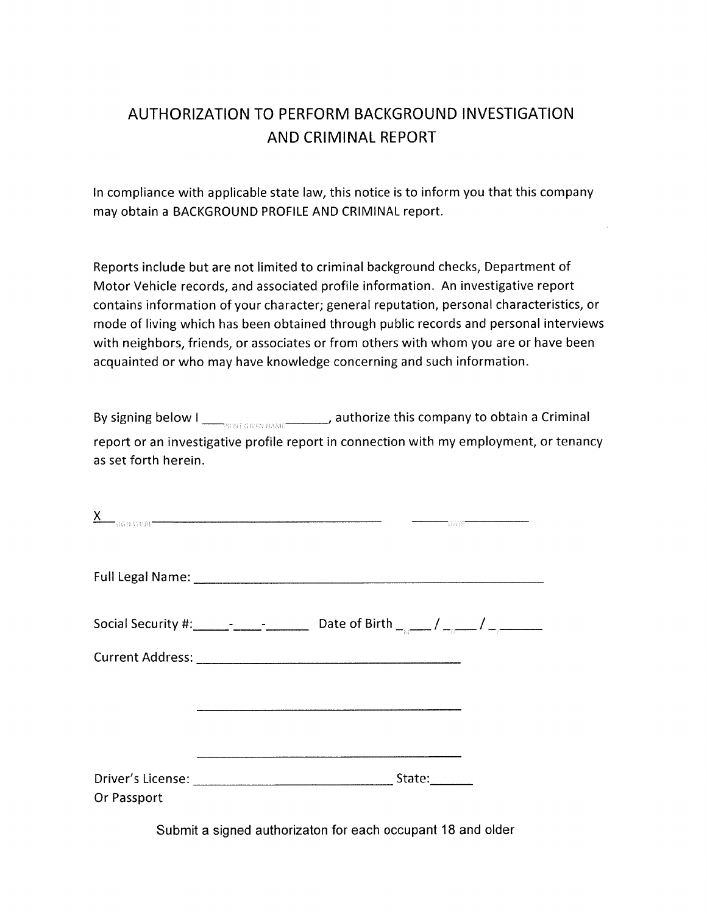## AUTHORIZATION TO PERFORM BACKGROUND INVESTIGATION AND CRIMINAL REPORT

In compliance with applicable state law, this notice is to inform you that this company may obtain a BACKGROUND PROFILE AND CRIMINAL report.

Reports include but are not limited to criminal background checks, Department of Motor Vehicle records, and associated profile information. An investigative report contains information of your character; general reputation, personal characteristics, or mode of living which has been obtained through public records and personal interviews with neighbors, friends, or associates or from others with whom you are or have been acquainted or who may have knowledge concerning and such information.

| By signing below I<br><b>PRINT GIVEN NAME</b> | , authorize this company to obtain a Criminal                                          |
|-----------------------------------------------|----------------------------------------------------------------------------------------|
| as set forth herein.                          | report or an investigative profile report in connection with my employment, or tenancy |

| <u>∧</u>    | TSIGNATURE <b>The Commission of the Commission Commission of the Commission Commission</b> | TDATE" |
|-------------|--------------------------------------------------------------------------------------------|--------|
|             |                                                                                            |        |
|             |                                                                                            |        |
|             |                                                                                            |        |
|             |                                                                                            |        |
|             |                                                                                            |        |
|             |                                                                                            |        |
| Or Passport |                                                                                            |        |

 $\overline{v}$ 

Submit a signed authorizaton for each occupant 18 and older